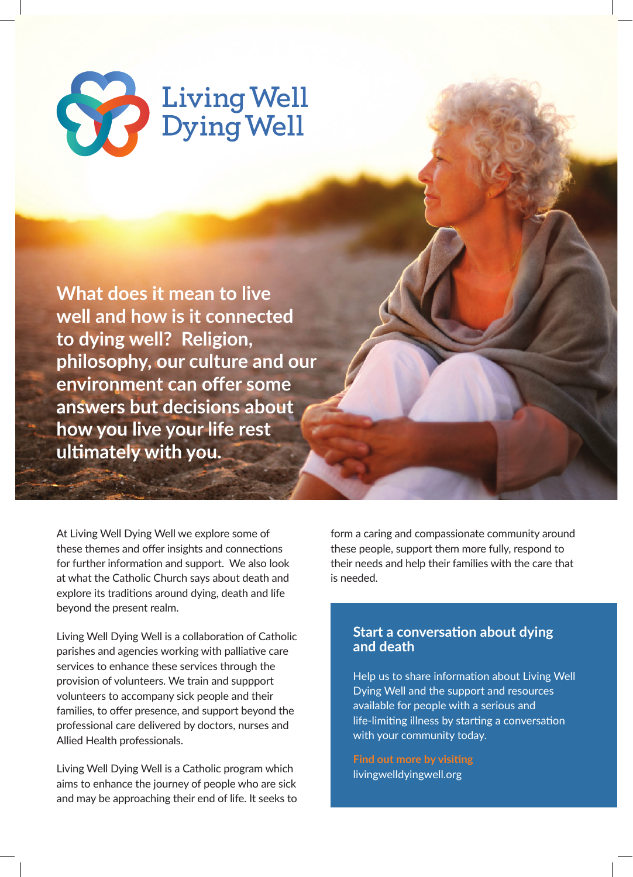

**What does it mean to live well and how is it connected to dying well? Religion, philosophy, our culture and our environment can offer some answers but decisions about how you live your life rest ultimately with you.**

At Living Well Dying Well we explore some of these themes and offer insights and connections for further information and support. We also look at what the Catholic Church says about death and explore its traditions around dying, death and life beyond the present realm.

Living Well Dying Well is a collaboration of Catholic parishes and agencies working with palliative care services to enhance these services through the provision of volunteers. We train and suppport volunteers to accompany sick people and their families, to offer presence, and support beyond the professional care delivered by doctors, nurses and Allied Health professionals.

Living Well Dying Well is a Catholic program which aims to enhance the journey of people who are sick and may be approaching their end of life. It seeks to form a caring and compassionate community around these people, support them more fully, respond to their needs and help their families with the care that is needed.

## **Start a conversation about dying and death**

Help us to share information about Living Well Dying Well and the support and resources available for people with a serious and life-limiting illness by starting a conversation with your community today.

**Find out more by visiting**  livingwelldyingwell.org